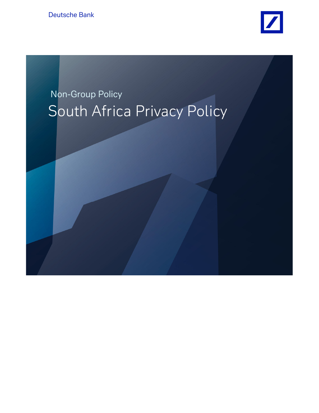Deutsche Bank



# Non-Group Policy South Africa Privacy Policy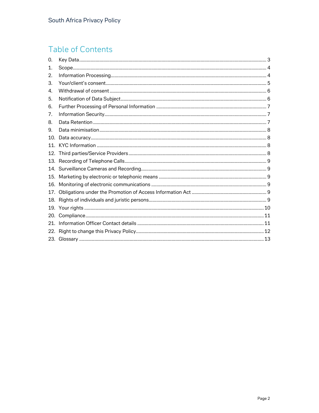# **Table of Contents**

| 0.  |  |
|-----|--|
| 1.  |  |
| 2.  |  |
| 3.  |  |
| 4.  |  |
| 5.  |  |
| 6.  |  |
| 7.  |  |
| 8.  |  |
| 9.  |  |
| 10. |  |
| 11  |  |
| 12. |  |
| 13. |  |
|     |  |
| 15. |  |
| 16. |  |
| 17. |  |
| 18. |  |
|     |  |
| 20. |  |
| 21. |  |
| 22. |  |
|     |  |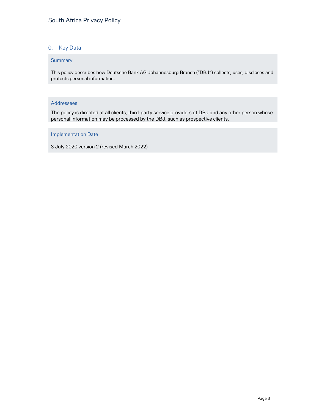# 0. Key Data

#### **Summary**

This policy describes how Deutsche Bank AG Johannesburg Branch ("DBJ") collects, uses, discloses and protects personal information.

#### Addressees

The policy is directed at all clients, third-party service providers of DBJ and any other person whose personal information may be processed by the DBJ, such as prospective clients.

#### Implementation Date

3 July 2020 version 2 (revised March 2022)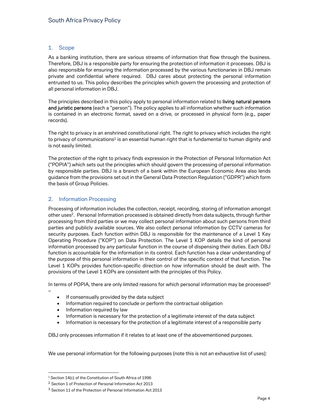#### 1. Scope

As a banking institution, there are various streams of information that flow through the business. Therefore, DBJ is a responsible party for ensuring the protection of information it processes. DBJ is also responsible for ensuring the information processed by the various functionaries in DBJ remain private and confidential where required. DBJ cares about protecting the personal information entrusted to us. This policy describes the principles which govern the processing and protection of all personal information in DBJ.

The principles described in this policy apply to personal information related to living natural persons and juristic persons (each a "person"). The policy applies to all information whether such information is contained in an electronic format, saved on a drive, or processed in physical form (e.g., paper records).

The right to privacy is an enshrined constitutional right. The right to privacy which includes the right to privacy of communications<sup>1</sup> is an essential human right that is fundamental to human dignity and is not easily limited.

The protection of the right to privacy finds expression in the Protection of Personal Information Act ("POPIA") which sets out the principles which should govern the processing of personal information by responsible parties. DBJ is a branch of a bank within the European Economic Area also lends guidance from the provisions set out in the General Data Protection Regulation ("GDPR") which form the basis of Group Policies.

#### 2. Information Processing

Processing of information includes the collection, receipt, recording, storing of information amongst other uses2. Personal Information processed is obtained directly from data subjects, through further processing from third parties or we may collect personal information about such persons from third parties and publicly available sources. We also collect personal information by CCTV cameras for security purposes. Each function within DBJ is responsible for the maintenance of a Level 1 Key Operating Procedure ("KOP") on Data Protection. The Level 1 KOP details the kind of personal information processed by any particular function in the course of dispensing their duties. Each DBJ function is accountable for the information in its control. Each function has a clear understanding of the purpose of this personal information in their control of the specific context of that function. The Level 1 KOPs provides function-specific direction on how information should be dealt with. The provisions of the Level 1 KOPs are consistent with the principles of this Policy.

In terms of POPIA, there are only limited reasons for which personal information may be processed<sup>3</sup>

- If consensually provided by the data subject
- Information required to conclude or perform the contractual obligation
- Information required by law

–

- Information is necessary for the protection of a legitimate interest of the data subject
- Information is necessary for the protection of a legitimate interest of a responsible party

DBJ only processes information if it relates to at least one of the abovementioned purposes.

We use personal information for the following purposes (note this is not an exhaustive list of uses):

<sup>1</sup> Section 14(c) of the Constitution of South Africa of 1996

<sup>2</sup> Section 1 of Protection of Personal Information Act 2013

<sup>&</sup>lt;sup>3</sup> Section 11 of the Protection of Personal Information Act 2013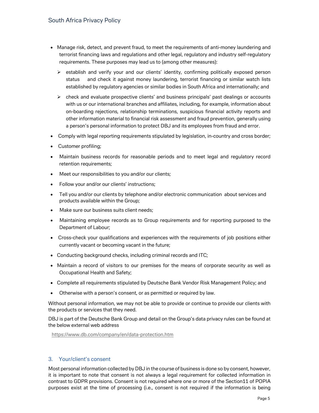- Manage risk, detect, and prevent fraud, to meet the requirements of anti-money laundering and terrorist financing laws and regulations and other legal, regulatory and industry self-regulatory requirements. These purposes may lead us to (among other measures):
	- $\triangleright$  establish and verify your and our clients' identity, confirming politically exposed person status and check it against money laundering, terrorist financing or similar watch lists established by regulatory agencies or similar bodies in South Africa and internationally; and
	- $\triangleright$  check and evaluate prospective clients' and business principals' past dealings or accounts with us or our international branches and affiliates, including, for example, information about on-boarding rejections, relationship terminations, suspicious financial activity reports and other information material to financial risk assessment and fraud prevention, generally using a person's personal information to protect DBJ and its employees from fraud and error.
- Comply with legal reporting requirements stipulated by legislation, in-country and cross border;
- Customer profiling;
- Maintain business records for reasonable periods and to meet legal and regulatory record retention requirements;
- Meet our responsibilities to you and/or our clients;
- Follow your and/or our clients' instructions;
- Tell you and/or our clients by telephone and/or electronic communication about services and products available within the Group;
- Make sure our business suits client needs;
- Maintaining employee records as to Group requirements and for reporting purposed to the Department of Labour;
- Cross-check your qualifications and experiences with the requirements of job positions either currently vacant or becoming vacant in the future;
- Conducting background checks, including criminal records and ITC;
- Maintain a record of visitors to our premises for the means of corporate security as well as Occupational Health and Safety;
- Complete all requirements stipulated by Deutsche Bank Vendor Risk Management Policy; and
- Otherwise with a person's consent, or as permitted or required by law.

Without personal information, we may not be able to provide or continue to provide our clients with the products or services that they need.

DBJ is part of the Deutsche Bank Group and detail on the Group's data privacy rules can be found at the below external web address

https://www.db.com/company/en/data-protection.htm

#### 3. Your/client's consent

Most personal information collected by DBJ in the course of business is done so by consent, however, it is important to note that consent is not always a legal requirement for collected information in contrast to GDPR provisions. Consent is not required where one or more of the Section11 of POPIA purposes exist at the time of processing (i.e., consent is not required if the information is being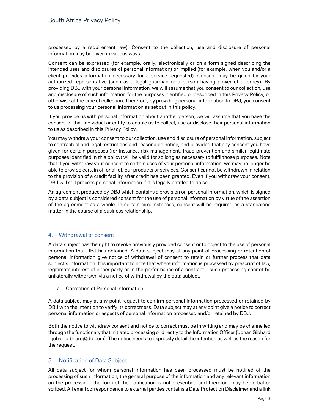processed by a requirement law). Consent to the collection, use and disclosure of personal information may be given in various ways.

Consent can be expressed (for example, orally, electronically or on a form signed describing the intended uses and disclosures of personal information) or implied (for example, when you and/or a client provides information necessary for a service requested). Consent may be given by your authorized representative (such as a legal guardian or a person having power of attorney). By providing DBJ with your personal information, we will assume that you consent to our collection, use and disclosure of such information for the purposes identified or described in this Privacy Policy, or otherwise at the time of collection. Therefore, by providing personal information to DBJ, you consent to us processing your personal information as set out in this policy.

If you provide us with personal information about another person, we will assume that you have the consent of that individual or entity to enable us to collect, use or disclose their personal information to us as described in this Privacy Policy.

You may withdraw your consent to our collection, use and disclosure of personal information, subject to contractual and legal restrictions and reasonable notice, and provided that any consent you have given for certain purposes (for instance, risk management, fraud prevention and similar legitimate purposes identified in this policy) will be valid for so long as necessary to fulfil those purposes. Note that if you withdraw your consent to certain uses of your personal information, we may no longer be able to provide certain of, or all of, our products or services. Consent cannot be withdrawn in relation to the provision of a credit facility after credit has been granted. Even if you withdraw your consent, DBJ will still process personal information if it is legally entitled to do so.

An agreement produced by DBJ which contains a provision on personal information, which is signed by a data subject is considered consent for the use of personal information by virtue of the assertion of the agreement as a whole. In certain circumstances, consent will be required as a standalone matter in the course of a business relationship.

#### 4. Withdrawal of consent

A data subject has the right to revoke previously provided consent or to object to the use of personal information that DBJ has obtained. A data subject may at any point of processing or retention of personal information give notice of withdrawal of consent to retain or further process that data subject's information. It is important to note that where information is processed by prescript of law, legitimate interest of either party or in the performance of a contract – such processing cannot be unilaterally withdrawn via a notice of withdrawal by the data subject.

a. Correction of Personal Information

A data subject may at any point request to confirm personal information processed or retained by DBJ with the intention to verify its correctness. Data subject may at any point give a notice to correct personal information or aspects of personal information processed and/or retained by DBJ.

Both the notice to withdraw consent and notice to correct must be in writing and may be channelled through the functionary that initiated processing or directly to the Information Officer {Johan Gibhard – johan.gibhard@db.com}. The notice needs to expressly detail the intention as well as the reason for the request.

#### 5. Notification of Data Subject

All data subject for whom personal information has been processed must be notified of the processing of such information, the general purpose of the information and any relevant information on the processing- the form of the notification is not prescribed and therefore may be verbal or scribed. All email correspondence to external parties contains a Data Protection Disclaimer and a link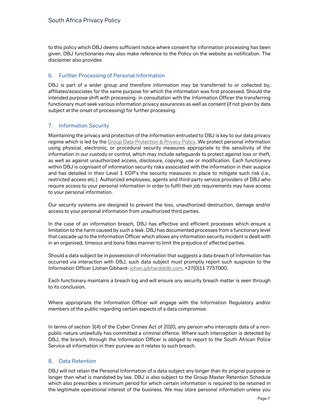to this policy which DBJ deems sufficient notice where consent for information processing has been given. DBJ functionaries may also make reference to the Policy on the website as notification. The disclaimer also provides

#### 6. Further Processing of Personal Information

DBJ is part of a wider group and therefore information may be transferred to or collected by, affiliates/associates for the same purpose for which the information was first processed. Should the intended purpose shift with processing- in consultation with the Information Officer the transferring functionary must seek various information privacy assurances as well as consent (if not given by data subject at the onset of processing) for further processing.

# 7. Information Security

Maintaining the privacy and protection of the information entrusted to DBJ is key to our data privacy regime which is led by the Group Data Protection & Privacy Policy. We protect personal information using physical, electronic, or procedural security measures appropriate to the sensitivity of the information in our custody or control, which may include safeguards to protect against loss or theft, as well as against unauthorized access, disclosure, copying, use or modification. Each functionary within DBJ is cognisant of information security risks associated with the information in their auspice and has detailed in their Level 1 KOP's the security measures in place to mitigate such risk (i.e., restricted access etc.) Authorized employees, agents and third-party service providers of DBJ who require access to your personal information in order to fulfil their job requirements may have access to your personal information.

Our security systems are designed to prevent the loss, unauthorized destruction, damage and/or access to your personal information from unauthorized third parties.

In the case of an information breach, DBJ has effective and efficient processes which ensure a limitation to the harm caused by such a leak. DBJ has documented processes from a functionary level that cascade up to the Information Officer which allows any information security incident is dealt with in an organised, timeous and bona fides manner to limit the prejudice of affected parties.

Should a data subject be in possession of information that suggests a data breach of information has occurred via interaction with DBJ, such data subject must promptly report such suspicion to the Information Officer {Johan Gibhard- johan.gibhard@db.com, +27(0)11 7757000.

Each functionary maintains a breach log and will ensure any security breach matter is seen through to its conclusion.

Where appropriate the Information Officer will engage with the Information Regulatory and/or members of the public regarding certain aspects of a data compromise.

In terms of section 3(4) of the Cyber Crimes Act of 2020, any person who intercepts data of a nonpublic nature unlawfully has committed a criminal offence. Where such interception is detected by DBJ, the branch, through the Information Officer is obliged to report to the South African Police Service all information in their purview as it relates to such breach.

#### 8. Data Retention

DBJ will not retain the Personal Information of a data subject any longer than its original purpose or longer than what is mandated by law. DBJ is also subject to the Group Master Retention Schedule which also prescribes a minimum period for which certain information is required to be retained in the legitimate operational interest of the business. We may store personal information unless you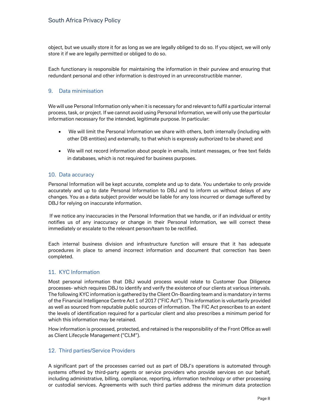object, but we usually store it for as long as we are legally obliged to do so. If you object, we will only store it if we are legally permitted or obliged to do so.

Each functionary is responsible for maintaining the information in their purview and ensuring that redundant personal and other information is destroyed in an unreconstructible manner.

#### 9. Data minimisation

We will use Personal Information only when it is necessary for and relevant to fulfil a particular internal process, task, or project. If we cannot avoid using Personal Information, we will only use the particular information necessary for the intended, legitimate purpose. In particular:

- We will limit the Personal Information we share with others, both internally (including with other DB entities) and externally, to that which is expressly authorized to be shared; and
- We will not record information about people in emails, instant messages, or free text fields in databases, which is not required for business purposes.

#### 10. Data accuracy

Personal Information will be kept accurate, complete and up to date. You undertake to only provide accurately and up to date Personal Information to DBJ and to inform us without delays of any changes. You as a data subject provider would be liable for any loss incurred or damage suffered by DBJ for relying on inaccurate information.

 If we notice any inaccuracies in the Personal Information that we handle, or if an individual or entity notifies us of any inaccuracy or change in their Personal Information, we will correct these immediately or escalate to the relevant person/team to be rectified.

Each internal business division and infrastructure function will ensure that it has adequate procedures in place to amend incorrect information and document that correction has been completed.

#### 11. KYC Information

Most personal information that DBJ would process would relate to Customer Due Diligence processes- which requires DBJ to identify and verify the existence of our clients at various intervals. The following KYC information is gathered by the Client On-Boarding team and is mandatory in terms of the Financial Intelligence Centre Act 1 of 2017 ("FIC Act"). This information is voluntarily provided as well as sourced from reputable public sources of information. The FIC Act prescribes to an extent the levels of identification required for a particular client and also prescribes a minimum period for which this information may be retained.

How information is processed, protected, and retained is the responsibility of the Front Office as well as Client Lifecycle Management ("CLM").

#### 12. Third parties/Service Providers

A significant part of the processes carried out as part of DBJ's operations is automated through systems offered by third-party agents or service providers who provide services on our behalf, including administrative, billing, compliance, reporting, information technology or other processing or custodial services. Agreements with such third parties address the minimum data protection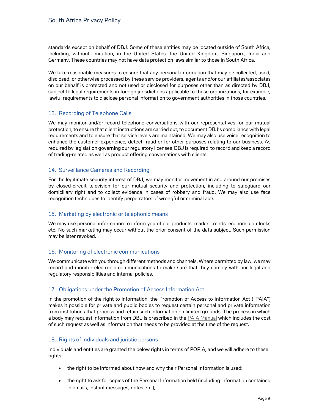standards except on behalf of DBJ. Some of these entities may be located outside of South Africa, including, without limitation, in the United States, the United Kingdom, Singapore, India and Germany. These countries may not have data protection laws similar to those in South Africa.

We take reasonable measures to ensure that any personal information that may be collected, used, disclosed, or otherwise processed by these service providers, agents and/or our affiliates/associates on our behalf is protected and not used or disclosed for purposes other than as directed by DBJ, subject to legal requirements in foreign jurisdictions applicable to those organizations, for example, lawful requirements to disclose personal information to government authorities in those countries.

# 13. Recording of Telephone Calls

We may monitor and/or record telephone conversations with our representatives for our mutual protection, to ensure that client instructions are carried out, to document DBJ's compliance with legal requirements and to ensure that service levels are maintained. We may also use voice recognition to enhance the customer experience, detect fraud or for other purposes relating to our business. As required by legislation governing our regulatory licenses DBJ is required to record and keep a record of trading-related as well as product offering conversations with clients.

#### 14. Surveillance Cameras and Recording

For the legitimate security interest of DBJ, we may monitor movement in and around our premises by closed-circuit television for our mutual security and protection, including to safeguard our domiciliary right and to collect evidence in cases of robbery and fraud. We may also use face recognition techniques to identify perpetrators of wrongful or criminal acts.

#### 15. Marketing by electronic or telephonic means

We may use personal information to inform you of our products, market trends, economic outlooks etc. No such marketing may occur without the prior consent of the data subject. Such permission may be later revoked.

#### 16. Monitoring of electronic communications

We communicate with you through different methods and channels. Where permitted by law, we may record and monitor electronic communications to make sure that they comply with our legal and regulatory responsibilities and internal policies.

#### 17. Obligations under the Promotion of Access Information Act

In the promotion of the right to information, the Promotion of Access to Information Act ("PAIA") makes it possible for private and public bodies to request certain personal and private information from institutions that process and retain such information on limited grounds. The process in which a body may request information from DBJ is prescribed in the PAIA Manual which includes the cost of such request as well as information that needs to be provided at the time of the request.

#### 18. Rights of individuals and juristic persons

Individuals and entities are granted the below rights in terms of POPIA, and we will adhere to these rights:

- the right to be informed about how and why their Personal Information is used;
- the right to ask for copies of the Personal Information held (including information contained in emails, instant messages, notes etc.);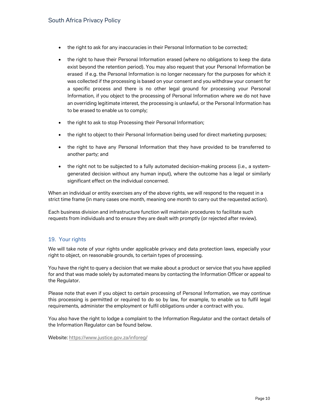- the right to ask for any inaccuracies in their Personal Information to be corrected;
- the right to have their Personal Information erased (where no obligations to keep the data exist beyond the retention period). You may also request that your Personal Information be erased if e.g. the Personal Information is no longer necessary for the purposes for which it was collected if the processing is based on your consent and you withdraw your consent for a specific process and there is no other legal ground for processing your Personal Information, if you object to the processing of Personal Information where we do not have an overriding legitimate interest, the processing is unlawful, or the Personal Information has to be erased to enable us to comply;
- the right to ask to stop Processing their Personal Information;
- the right to object to their Personal Information being used for direct marketing purposes;
- the right to have any Personal Information that they have provided to be transferred to another party; and
- the right not to be subjected to a fully automated decision-making process (i.e., a systemgenerated decision without any human input), where the outcome has a legal or similarly significant effect on the individual concerned.

When an individual or entity exercises any of the above rights, we will respond to the request in a strict time frame (in many cases one month, meaning one month to carry out the requested action).

Each business division and infrastructure function will maintain procedures to facilitate such requests from individuals and to ensure they are dealt with promptly (or rejected after review).

# 19. Your rights

We will take note of your rights under applicable privacy and data protection laws, especially your right to object, on reasonable grounds, to certain types of processing.

You have the right to query a decision that we make about a product or service that you have applied for and that was made solely by automated means by contacting the Information Officer or appeal to the Regulator.

Please note that even if you object to certain processing of Personal Information, we may continue this processing is permitted or required to do so by law, for example, to enable us to fulfil legal requirements, administer the employment or fulfil obligations under a contract with you.

You also have the right to lodge a complaint to the Information Regulator and the contact details of the Information Regulator can be found below.

Website: https://www.justice.gov.za/inforeg/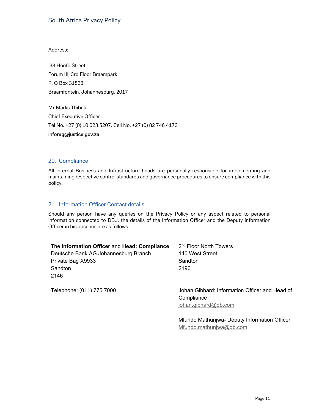#### Address:

33 Hoofd Street Forum III, 3rd Floor Braampark P. O Box 31533 Braamfontein, Johannesburg, 2017

Mr Marks Thibela Chief Executive Officer Tel No. +27 (0) 10 023 5207, Cell No. +27 (0) 82 746 4173

#### inforeg@justice.gov.za

#### 20. Compliance

All internal Business and Infrastructure heads are personally responsible for implementing and maintaining respective control standards and governance procedures to ensure compliance with this policy.

#### 21. Information Officer Contact details

Should any person have any queries on the Privacy Policy or any aspect related to personal information connected to DBJ, the details of the Information Officer and the Deputy information Officer in his absence are as follows:

| The Information Officer and Head: Compliance | 2 <sup>nd</sup> Floor North Towers             |  |
|----------------------------------------------|------------------------------------------------|--|
| Deutsche Bank AG Johannesburg Branch         | 140 West Street                                |  |
| Private Bag X9933                            | Sandton                                        |  |
| Sandton                                      | 2196                                           |  |
| 2146                                         |                                                |  |
| Telephone: (011) 775 7000                    | Johan Gibhard: Information Officer and Head of |  |

**Compliance** 

johan.gibhard@db.com

Mfundo Mathunjwa- Deputy Information Officer Mfundo.mathunjwa@db.com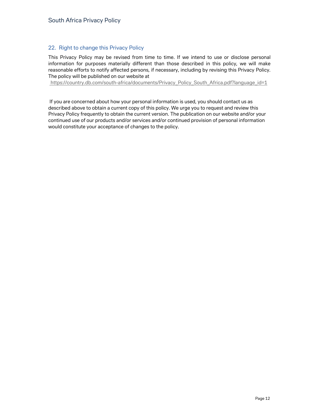# 22. Right to change this Privacy Policy

This Privacy Policy may be revised from time to time. If we intend to use or disclose personal information for purposes materially different than those described in this policy, we will make reasonable efforts to notify affected persons, if necessary, including by revising this Privacy Policy. The policy will be published on our website at

https://country.db.com/south-africa/documents/Privacy\_Policy\_South\_Africa.pdf?language\_id=1

 If you are concerned about how your personal information is used, you should contact us as described above to obtain a current copy of this policy. We urge you to request and review this Privacy Policy frequently to obtain the current version. The publication on our website and/or your continued use of our products and/or services and/or continued provision of personal information would constitute your acceptance of changes to the policy.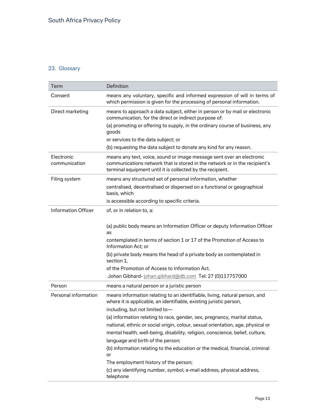# 23. Glossary

| Term                        | Definition                                                                                                                                                                                                        |
|-----------------------------|-------------------------------------------------------------------------------------------------------------------------------------------------------------------------------------------------------------------|
| Consent                     | means any voluntary, specific and informed expression of will in terms of<br>which permission is given for the processing of personal information.                                                                |
| Direct marketing            | means to approach a data subject, either in person or by mail or electronic<br>communication, for the direct or indirect purpose of:                                                                              |
|                             | (a) promoting or offering to supply, in the ordinary course of business, any<br>goods                                                                                                                             |
|                             | or services to the data subject; or                                                                                                                                                                               |
|                             | (b) requesting the data subject to donate any kind for any reason.                                                                                                                                                |
| Electronic<br>communication | means any text, voice, sound or image message sent over an electronic<br>communications network that is stored in the network or in the recipient's<br>terminal equipment until it is collected by the recipient. |
| Filing system               | means any structured set of personal information, whether                                                                                                                                                         |
|                             | centralised, decentralised or dispersed on a functional or geographical<br>basis, which                                                                                                                           |
|                             | is accessible according to specific criteria.                                                                                                                                                                     |
| <b>Information Officer</b>  | of, or in relation to, a:                                                                                                                                                                                         |
|                             | (a) public body means an Information Officer or deputy Information Officer<br>as                                                                                                                                  |
|                             | contemplated in terms of section 1 or 17 of the Promotion of Access to<br>Information Act; or                                                                                                                     |
|                             | (b) private body means the head of a private body as contemplated in<br>section 1.                                                                                                                                |
|                             | of the Promotion of Access to Information Act.                                                                                                                                                                    |
|                             | Johan Gibhard-johan.gibhard@db.com Tel: 27 (0)117757000                                                                                                                                                           |
| Person                      | means a natural person or a juristic person                                                                                                                                                                       |
| Personal information        | means information relating to an identifiable, living, natural person, and<br>where it is applicable, an identifiable, existing juristic person,                                                                  |
|                             | including, but not limited to-                                                                                                                                                                                    |
|                             | (a) information relating to race, gender, sex, pregnancy, marital status,                                                                                                                                         |
|                             | national, ethnic or social origin, colour, sexual orientation, age, physical or                                                                                                                                   |
|                             | mental health, well-being, disability, religion, conscience, belief, culture,<br>language and birth of the person;                                                                                                |
|                             | (b) information relating to the education or the medical, financial, criminal<br>or                                                                                                                               |
|                             | The employment history of the person;                                                                                                                                                                             |
|                             | (c) any identifying number, symbol, e-mail address, physical address,<br>telephone                                                                                                                                |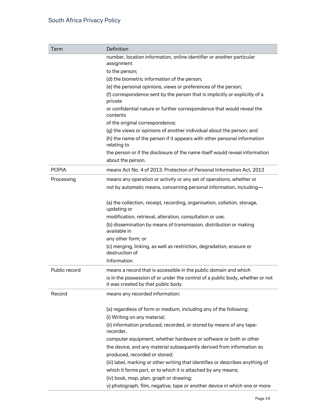| Term          | Definition                                                                                                           |
|---------------|----------------------------------------------------------------------------------------------------------------------|
|               | number, location information, online identifier or another particular                                                |
|               | assignment                                                                                                           |
|               | to the person;                                                                                                       |
|               | (d) the biometric information of the person;                                                                         |
|               | (e) the personal opinions, views or preferences of the person;                                                       |
|               | (f) correspondence sent by the person that is implicitly or explicitly of a<br>private                               |
|               | or confidential nature or further correspondence that would reveal the<br>contents                                   |
|               | of the original correspondence;                                                                                      |
|               | (g) the views or opinions of another individual about the person; and                                                |
|               | (h) the name of the person if it appears with other personal information<br>relating to                              |
|               | the person or if the disclosure of the name itself would reveal information                                          |
|               | about the person.                                                                                                    |
| <b>POPIA</b>  | means Act No. 4 of 2013: Protection of Personal Information Act, 2013                                                |
| Processing    | means any operation or activity or any set of operations, whether or                                                 |
|               | not by automatic means, concerning personal information, including-                                                  |
|               | (a) the collection, receipt, recording, organisation, collation, storage,<br>updating or                             |
|               | modification, retrieval, alteration, consultation or use;                                                            |
|               | (b) dissemination by means of transmission, distribution or making<br>available in                                   |
|               | any other form; or                                                                                                   |
|               | (c) merging, linking, as well as restriction, degradation, erasure or<br>destruction of                              |
|               | Information.                                                                                                         |
| Public record | means a record that is accessible in the public domain and which                                                     |
|               | is in the possession of or under the control of a public body, whether or not<br>it was created by that public body. |
| Record        | means any recorded information:                                                                                      |
|               | (a) regardless of form or medium, including any of the following:                                                    |
|               | (i) Writing on any material;                                                                                         |
|               | (ii) information produced, recorded, or stored by means of any tape-<br>recorder,                                    |
|               | computer equipment, whether hardware or software or both or other                                                    |
|               | the device, and any material subsequently derived from information so                                                |
|               | produced, recorded or stored;                                                                                        |
|               | (iii) label, marking or other writing that identifies or describes anything of                                       |
|               | which it forms part, or to which it is attached by any means;                                                        |
|               | (iv) book, map, plan, graph or drawing;                                                                              |
|               | v) photograph, film, negative, tape or another device in which one or more                                           |